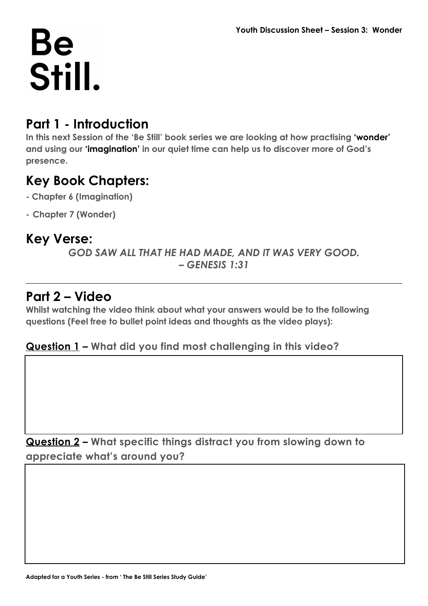## **Be** Still.

#### **Part 1 - Introduction**

**In this next Session of the 'Be Still' book series we are looking at how practising 'wonder' and using our 'imagination' in our quiet time can help us to discover more of God's presence.**

#### **Key Book Chapters:**

- **Chapter 6 (Imagination)**
- **- Chapter 7 (Wonder)**

#### **Key Verse:**

*GOD SAW ALL THAT HE HAD MADE, AND IT WAS VERY GOOD. – GENESIS 1:31*

#### **Part 2 – Video**

**Whilst watching the video think about what your answers would be to the following questions (Feel free to bullet point ideas and thoughts as the video plays):**

#### **Question 1 – What did you find most challenging in this video?**

**Question 2 – What specific things distract you from slowing down to appreciate what's around you?**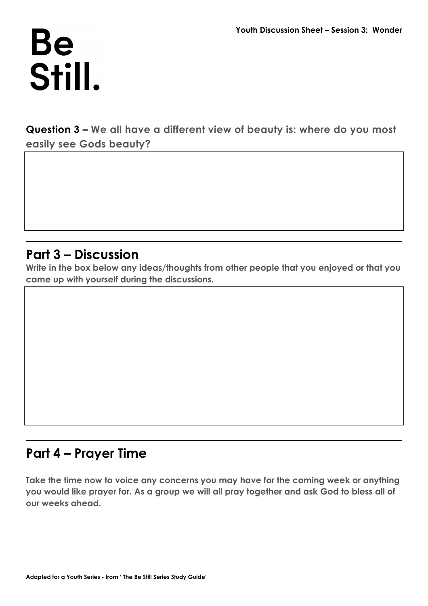## Be Still.

**Question 3 – We all have a different view of beauty is: where do you most easily see Gods beauty?**

#### **Part 3 – Discussion**

**Write in the box below any ideas/thoughts from other people that you enjoyed or that you came up with yourself during the discussions.**

### **Part 4 – Prayer Time**

**Take the time now to voice any concerns you may have for the coming week or anything you would like prayer for. As a group we will all pray together and ask God to bless all of our weeks ahead.**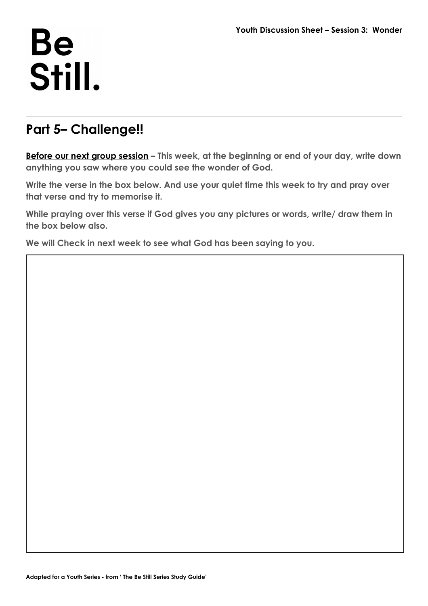## **Be** Still.

#### **Part 5– Challenge!!**

**Before our next group session – This week, at the beginning or end of your day, write down anything you saw where you could see the wonder of God.**

**Write the verse in the box below. And use your quiet time this week to try and pray over that verse and try to memorise it.**

**While praying over this verse if God gives you any pictures or words, write/ draw them in the box below also.** 

**We will Check in next week to see what God has been saying to you.**